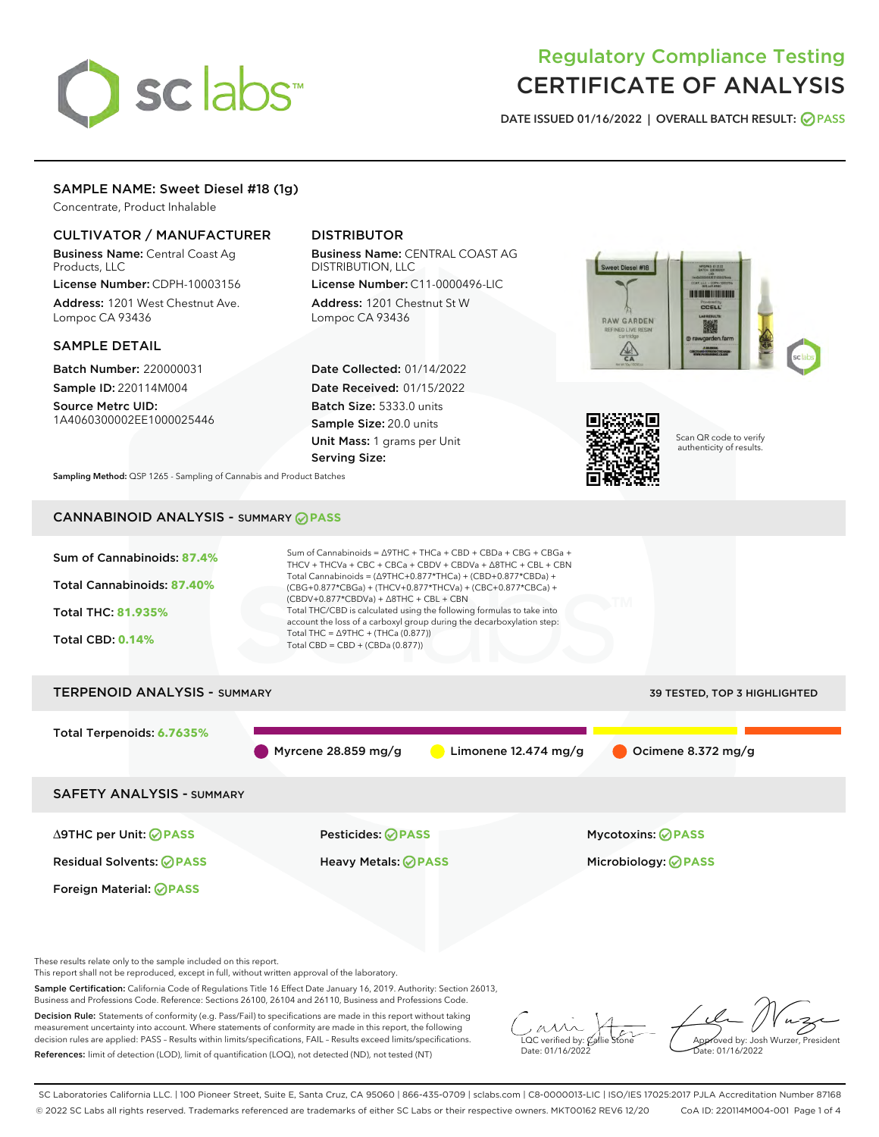# sclabs<sup>\*</sup>

# Regulatory Compliance Testing CERTIFICATE OF ANALYSIS

DATE ISSUED 01/16/2022 | OVERALL BATCH RESULT: @ PASS

## SAMPLE NAME: Sweet Diesel #18 (1g)

Concentrate, Product Inhalable

## CULTIVATOR / MANUFACTURER

Business Name: Central Coast Ag Products, LLC

License Number: CDPH-10003156 Address: 1201 West Chestnut Ave. Lompoc CA 93436

## SAMPLE DETAIL

Batch Number: 220000031 Sample ID: 220114M004

Source Metrc UID: 1A4060300002EE1000025446

## DISTRIBUTOR

Business Name: CENTRAL COAST AG DISTRIBUTION, LLC License Number: C11-0000496-LIC

Address: 1201 Chestnut St W Lompoc CA 93436

Date Collected: 01/14/2022 Date Received: 01/15/2022 Batch Size: 5333.0 units Sample Size: 20.0 units Unit Mass: 1 grams per Unit Serving Size:





Scan QR code to verify authenticity of results.

Sampling Method: QSP 1265 - Sampling of Cannabis and Product Batches

## CANNABINOID ANALYSIS - SUMMARY **PASS**



This report shall not be reproduced, except in full, without written approval of the laboratory.

Sample Certification: California Code of Regulations Title 16 Effect Date January 16, 2019. Authority: Section 26013, Business and Professions Code. Reference: Sections 26100, 26104 and 26110, Business and Professions Code.

Decision Rule: Statements of conformity (e.g. Pass/Fail) to specifications are made in this report without taking measurement uncertainty into account. Where statements of conformity are made in this report, the following decision rules are applied: PASS – Results within limits/specifications, FAIL – Results exceed limits/specifications. References: limit of detection (LOD), limit of quantification (LOQ), not detected (ND), not tested (NT)

 $\overline{\text{LOC}}$  verified by:  $\mathcal{C}$ Date: 01/16/2022

Approved by: Josh Wurzer, President ate: 01/16/2022

SC Laboratories California LLC. | 100 Pioneer Street, Suite E, Santa Cruz, CA 95060 | 866-435-0709 | sclabs.com | C8-0000013-LIC | ISO/IES 17025:2017 PJLA Accreditation Number 87168 © 2022 SC Labs all rights reserved. Trademarks referenced are trademarks of either SC Labs or their respective owners. MKT00162 REV6 12/20 CoA ID: 220114M004-001 Page 1 of 4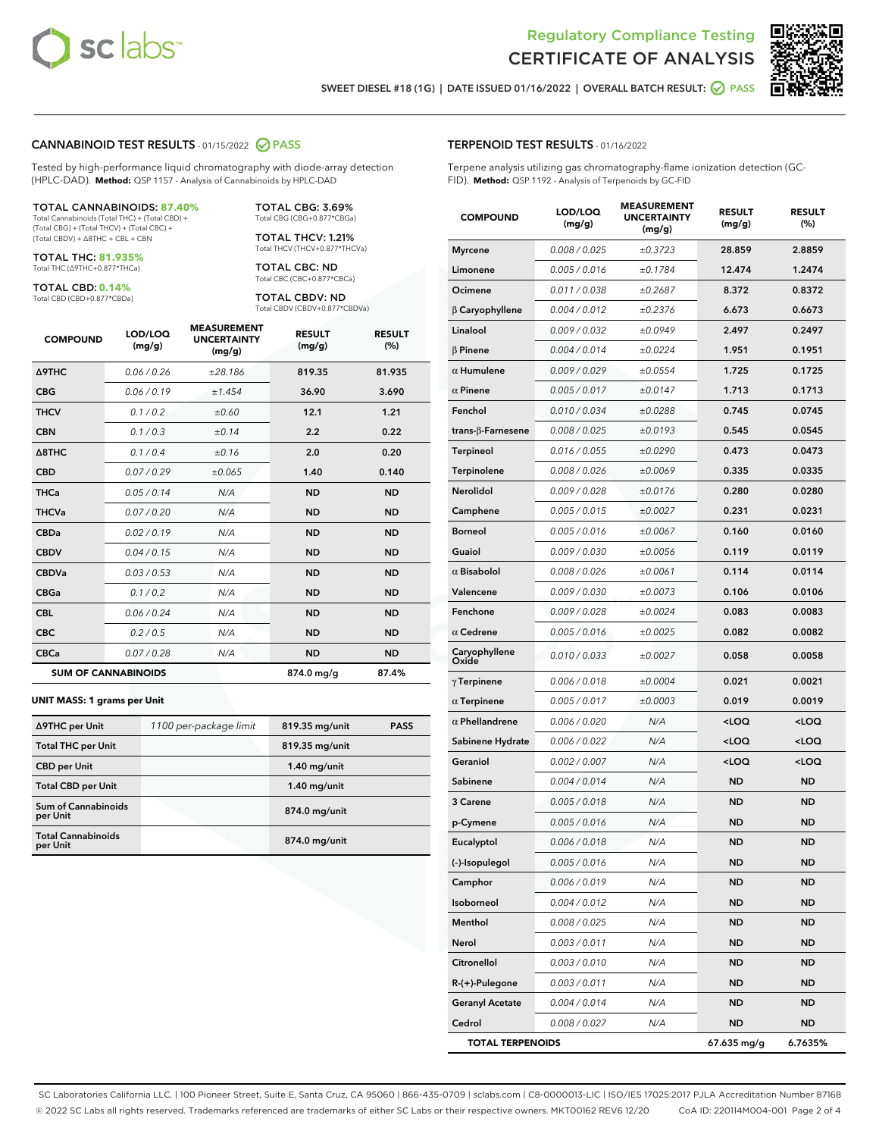



SWEET DIESEL #18 (1G) | DATE ISSUED 01/16/2022 | OVERALL BATCH RESULT: **O PASS** 

## CANNABINOID TEST RESULTS - 01/15/2022 2 PASS

Tested by high-performance liquid chromatography with diode-array detection (HPLC-DAD). **Method:** QSP 1157 - Analysis of Cannabinoids by HPLC-DAD

#### TOTAL CANNABINOIDS: **87.40%**

Total Cannabinoids (Total THC) + (Total CBD) + (Total CBG) + (Total THCV) + (Total CBC) + (Total CBDV) + ∆8THC + CBL + CBN

TOTAL THC: **81.935%** Total THC (∆9THC+0.877\*THCa)

TOTAL CBD: **0.14%**

Total CBD (CBD+0.877\*CBDa)

TOTAL CBG: 3.69% Total CBG (CBG+0.877\*CBGa)

TOTAL THCV: 1.21% Total THCV (THCV+0.877\*THCVa)

TOTAL CBC: ND Total CBC (CBC+0.877\*CBCa)

TOTAL CBDV: ND Total CBDV (CBDV+0.877\*CBDVa)

| <b>COMPOUND</b>            | LOD/LOQ<br>(mg/g) | <b>MEASUREMENT</b><br><b>UNCERTAINTY</b><br>(mg/g) | <b>RESULT</b><br>(mg/g) | <b>RESULT</b><br>(%) |
|----------------------------|-------------------|----------------------------------------------------|-------------------------|----------------------|
| <b>A9THC</b>               | 0.06/0.26         | ±28.186                                            | 819.35                  | 81.935               |
| <b>CBG</b>                 | 0.06/0.19         | ±1.454                                             | 36.90                   | 3.690                |
| <b>THCV</b>                | 0.1/0.2           | ±0.60                                              | 12.1                    | 1.21                 |
| <b>CBN</b>                 | 0.1/0.3           | ±0.14                                              | 2.2                     | 0.22                 |
| $\triangle$ 8THC           | 0.1/0.4           | ±0.16                                              | 2.0                     | 0.20                 |
| <b>CBD</b>                 | 0.07/0.29         | ±0.065                                             | 1.40                    | 0.140                |
| <b>THCa</b>                | 0.05/0.14         | N/A                                                | <b>ND</b>               | <b>ND</b>            |
| <b>THCVa</b>               | 0.07/0.20         | N/A                                                | <b>ND</b>               | <b>ND</b>            |
| <b>CBDa</b>                | 0.02/0.19         | N/A                                                | <b>ND</b>               | <b>ND</b>            |
| <b>CBDV</b>                | 0.04 / 0.15       | N/A                                                | <b>ND</b>               | <b>ND</b>            |
| <b>CBDVa</b>               | 0.03/0.53         | N/A                                                | <b>ND</b>               | <b>ND</b>            |
| <b>CBGa</b>                | 0.1/0.2           | N/A                                                | <b>ND</b>               | <b>ND</b>            |
| <b>CBL</b>                 | 0.06 / 0.24       | N/A                                                | <b>ND</b>               | <b>ND</b>            |
| <b>CBC</b>                 | 0.2 / 0.5         | N/A                                                | <b>ND</b>               | <b>ND</b>            |
| <b>CBCa</b>                | 0.07/0.28         | N/A                                                | <b>ND</b>               | <b>ND</b>            |
| <b>SUM OF CANNABINOIDS</b> |                   |                                                    | 874.0 mg/g              | 87.4%                |

#### **UNIT MASS: 1 grams per Unit**

| ∆9THC per Unit                         | 1100 per-package limit | 819.35 mg/unit | <b>PASS</b> |
|----------------------------------------|------------------------|----------------|-------------|
| <b>Total THC per Unit</b>              |                        | 819.35 mg/unit |             |
| <b>CBD</b> per Unit                    |                        | $1.40$ mg/unit |             |
| <b>Total CBD per Unit</b>              |                        | $1.40$ mg/unit |             |
| <b>Sum of Cannabinoids</b><br>per Unit |                        | 874.0 mg/unit  |             |
| <b>Total Cannabinoids</b><br>per Unit  |                        | 874.0 mg/unit  |             |

## TERPENOID TEST RESULTS - 01/16/2022

Terpene analysis utilizing gas chromatography-flame ionization detection (GC-FID). **Method:** QSP 1192 - Analysis of Terpenoids by GC-FID

| <b>COMPOUND</b>           | LOD/LOQ<br>(mg/g) | <b>MEASUREMENT</b><br><b>UNCERTAINTY</b><br>(mg/g) | <b>RESULT</b><br>(mg/g)                          | <b>RESULT</b><br>(%) |
|---------------------------|-------------------|----------------------------------------------------|--------------------------------------------------|----------------------|
| <b>Myrcene</b>            | 0.008 / 0.025     | ±0.3723                                            | 28.859                                           | 2.8859               |
| Limonene                  | 0.005 / 0.016     | ±0.1784                                            | 12.474                                           | 1.2474               |
| Ocimene                   | 0.011 / 0.038     | ±0.2687                                            | 8.372                                            | 0.8372               |
| $\beta$ Caryophyllene     | 0.004 / 0.012     | ±0.2376                                            | 6.673                                            | 0.6673               |
| Linalool                  | 0.009 / 0.032     | ±0.0949                                            | 2.497                                            | 0.2497               |
| <b>B</b> Pinene           | 0.004 / 0.014     | ±0.0224                                            | 1.951                                            | 0.1951               |
| $\alpha$ Humulene         | 0.009 / 0.029     | ±0.0554                                            | 1.725                                            | 0.1725               |
| $\alpha$ Pinene           | 0.005 / 0.017     | ±0.0147                                            | 1.713                                            | 0.1713               |
| Fenchol                   | 0.010 / 0.034     | ±0.0288                                            | 0.745                                            | 0.0745               |
| trans- $\beta$ -Farnesene | 0.008 / 0.025     | ±0.0193                                            | 0.545                                            | 0.0545               |
| Terpineol                 | 0.016 / 0.055     | ±0.0290                                            | 0.473                                            | 0.0473               |
| Terpinolene               | 0.008 / 0.026     | ±0.0069                                            | 0.335                                            | 0.0335               |
| Nerolidol                 | 0.009 / 0.028     | ±0.0176                                            | 0.280                                            | 0.0280               |
| Camphene                  | 0.005 / 0.015     | ±0.0027                                            | 0.231                                            | 0.0231               |
| <b>Borneol</b>            | 0.005 / 0.016     | ±0.0067                                            | 0.160                                            | 0.0160               |
| Guaiol                    | 0.009 / 0.030     | ±0.0056                                            | 0.119                                            | 0.0119               |
| $\alpha$ Bisabolol        | 0.008 / 0.026     | ±0.0061                                            | 0.114                                            | 0.0114               |
| Valencene                 | 0.009 / 0.030     | ±0.0073                                            | 0.106                                            | 0.0106               |
| Fenchone                  | 0.009 / 0.028     | ±0.0024                                            | 0.083                                            | 0.0083               |
| $\alpha$ Cedrene          | 0.005 / 0.016     | ±0.0025                                            | 0.082                                            | 0.0082               |
| Caryophyllene<br>Oxide    | 0.010 / 0.033     | ±0.0027                                            | 0.058                                            | 0.0058               |
| $\gamma$ Terpinene        | 0.006 / 0.018     | ±0.0004                                            | 0.021                                            | 0.0021               |
| $\alpha$ Terpinene        | 0.005 / 0.017     | ±0.0003                                            | 0.019                                            | 0.0019               |
| $\alpha$ Phellandrene     | 0.006 / 0.020     | N/A                                                | <loq< th=""><th><math>&lt;</math>LOQ</th></loq<> | $<$ LOQ              |
| Sabinene Hydrate          | 0.006 / 0.022     | N/A                                                | <loq< th=""><th><loq< th=""></loq<></th></loq<>  | <loq< th=""></loq<>  |
| Geraniol                  | 0.002 / 0.007     | N/A                                                | <loq< th=""><th><loq< th=""></loq<></th></loq<>  | <loq< th=""></loq<>  |
| Sabinene                  | 0.004 / 0.014     | N/A                                                | ND                                               | <b>ND</b>            |
| 3 Carene                  | 0.005 / 0.018     | N/A                                                | <b>ND</b>                                        | <b>ND</b>            |
| p-Cymene                  | 0.005 / 0.016     | N/A                                                | ND                                               | <b>ND</b>            |
| Eucalyptol                | 0.006 / 0.018     | N/A                                                | <b>ND</b>                                        | <b>ND</b>            |
| (-)-Isopulegol            | 0.005 / 0.016     | N/A                                                | ND                                               | ND                   |
| Camphor                   | 0.006 / 0.019     | N/A                                                | ND                                               | ND                   |
| Isoborneol                | 0.004 / 0.012     | N/A                                                | <b>ND</b>                                        | ND                   |
| Menthol                   | 0.008 / 0.025     | N/A                                                | <b>ND</b>                                        | <b>ND</b>            |
| Nerol                     | 0.003 / 0.011     | N/A                                                | ND                                               | ND                   |
| Citronellol               | 0.003 / 0.010     | N/A                                                | <b>ND</b>                                        | ND                   |
| R-(+)-Pulegone            | 0.003 / 0.011     | N/A                                                | <b>ND</b>                                        | <b>ND</b>            |
| <b>Geranyl Acetate</b>    | 0.004 / 0.014     | N/A                                                | ND                                               | ND                   |
| Cedrol                    | 0.008 / 0.027     | N/A                                                | <b>ND</b>                                        | ND                   |
| <b>TOTAL TERPENOIDS</b>   |                   |                                                    | 67.635 mg/g                                      | 6.7635%              |

SC Laboratories California LLC. | 100 Pioneer Street, Suite E, Santa Cruz, CA 95060 | 866-435-0709 | sclabs.com | C8-0000013-LIC | ISO/IES 17025:2017 PJLA Accreditation Number 87168 © 2022 SC Labs all rights reserved. Trademarks referenced are trademarks of either SC Labs or their respective owners. MKT00162 REV6 12/20 CoA ID: 220114M004-001 Page 2 of 4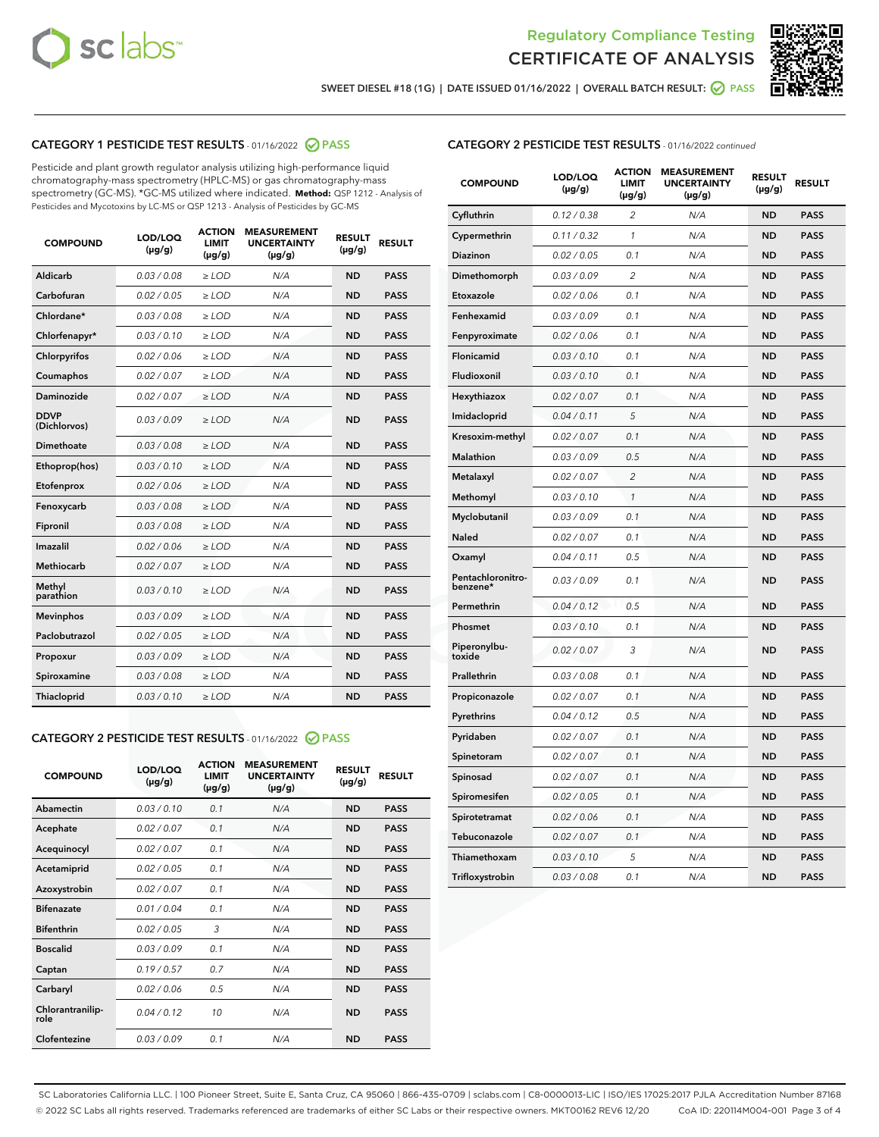



SWEET DIESEL #18 (1G) | DATE ISSUED 01/16/2022 | OVERALL BATCH RESULT: @ PASS

## CATEGORY 1 PESTICIDE TEST RESULTS - 01/16/2022 2 PASS

Pesticide and plant growth regulator analysis utilizing high-performance liquid chromatography-mass spectrometry (HPLC-MS) or gas chromatography-mass spectrometry (GC-MS). \*GC-MS utilized where indicated. **Method:** QSP 1212 - Analysis of Pesticides and Mycotoxins by LC-MS or QSP 1213 - Analysis of Pesticides by GC-MS

| <b>COMPOUND</b>             | LOD/LOQ<br>$(\mu g/g)$ | <b>ACTION</b><br><b>LIMIT</b><br>$(\mu q/q)$ | <b>MEASUREMENT</b><br><b>UNCERTAINTY</b><br>$(\mu g/g)$ | <b>RESULT</b><br>$(\mu g/g)$ | <b>RESULT</b> |
|-----------------------------|------------------------|----------------------------------------------|---------------------------------------------------------|------------------------------|---------------|
| Aldicarb                    | 0.03/0.08              | $\ge$ LOD                                    | N/A                                                     | <b>ND</b>                    | <b>PASS</b>   |
| Carbofuran                  | 0.02 / 0.05            | $\ge$ LOD                                    | N/A                                                     | <b>ND</b>                    | <b>PASS</b>   |
| Chlordane*                  | 0.03 / 0.08            | $\ge$ LOD                                    | N/A                                                     | <b>ND</b>                    | <b>PASS</b>   |
| Chlorfenapyr*               | 0.03/0.10              | $\ge$ LOD                                    | N/A                                                     | <b>ND</b>                    | <b>PASS</b>   |
| Chlorpyrifos                | 0.02 / 0.06            | $\ge$ LOD                                    | N/A                                                     | <b>ND</b>                    | <b>PASS</b>   |
| Coumaphos                   | 0.02 / 0.07            | $\ge$ LOD                                    | N/A                                                     | <b>ND</b>                    | <b>PASS</b>   |
| Daminozide                  | 0.02 / 0.07            | $\ge$ LOD                                    | N/A                                                     | <b>ND</b>                    | <b>PASS</b>   |
| <b>DDVP</b><br>(Dichlorvos) | 0.03/0.09              | $\ge$ LOD                                    | N/A                                                     | <b>ND</b>                    | <b>PASS</b>   |
| Dimethoate                  | 0.03 / 0.08            | $\ge$ LOD                                    | N/A                                                     | <b>ND</b>                    | <b>PASS</b>   |
| Ethoprop(hos)               | 0.03/0.10              | $\ge$ LOD                                    | N/A                                                     | <b>ND</b>                    | <b>PASS</b>   |
| Etofenprox                  | 0.02/0.06              | $>$ LOD                                      | N/A                                                     | <b>ND</b>                    | <b>PASS</b>   |
| Fenoxycarb                  | 0.03 / 0.08            | $\ge$ LOD                                    | N/A                                                     | <b>ND</b>                    | <b>PASS</b>   |
| Fipronil                    | 0.03/0.08              | $>$ LOD                                      | N/A                                                     | <b>ND</b>                    | <b>PASS</b>   |
| Imazalil                    | 0.02 / 0.06            | $\ge$ LOD                                    | N/A                                                     | <b>ND</b>                    | <b>PASS</b>   |
| Methiocarb                  | 0.02 / 0.07            | $\ge$ LOD                                    | N/A                                                     | <b>ND</b>                    | <b>PASS</b>   |
| Methyl<br>parathion         | 0.03/0.10              | $>$ LOD                                      | N/A                                                     | <b>ND</b>                    | <b>PASS</b>   |
| <b>Mevinphos</b>            | 0.03/0.09              | $>$ LOD                                      | N/A                                                     | <b>ND</b>                    | <b>PASS</b>   |
| Paclobutrazol               | 0.02 / 0.05            | $>$ LOD                                      | N/A                                                     | <b>ND</b>                    | <b>PASS</b>   |
| Propoxur                    | 0.03/0.09              | $\ge$ LOD                                    | N/A                                                     | <b>ND</b>                    | <b>PASS</b>   |
| Spiroxamine                 | 0.03 / 0.08            | $\ge$ LOD                                    | N/A                                                     | <b>ND</b>                    | <b>PASS</b>   |
| Thiacloprid                 | 0.03/0.10              | $\ge$ LOD                                    | N/A                                                     | <b>ND</b>                    | <b>PASS</b>   |

## CATEGORY 2 PESTICIDE TEST RESULTS - 01/16/2022 PASS

| <b>COMPOUND</b>          | LOD/LOO<br>$(\mu g/g)$ | <b>ACTION</b><br>LIMIT<br>$(\mu g/g)$ | <b>MEASUREMENT</b><br><b>UNCERTAINTY</b><br>$(\mu g/g)$ | <b>RESULT</b><br>$(\mu g/g)$ | <b>RESULT</b> |
|--------------------------|------------------------|---------------------------------------|---------------------------------------------------------|------------------------------|---------------|
| Abamectin                | 0.03/0.10              | 0.1                                   | N/A                                                     | <b>ND</b>                    | <b>PASS</b>   |
| Acephate                 | 0.02/0.07              | 0.1                                   | N/A                                                     | <b>ND</b>                    | <b>PASS</b>   |
| Acequinocyl              | 0.02/0.07              | 0.1                                   | N/A                                                     | <b>ND</b>                    | <b>PASS</b>   |
| Acetamiprid              | 0.02/0.05              | 0.1                                   | N/A                                                     | <b>ND</b>                    | <b>PASS</b>   |
| Azoxystrobin             | 0.02/0.07              | 0.1                                   | N/A                                                     | <b>ND</b>                    | <b>PASS</b>   |
| <b>Bifenazate</b>        | 0.01/0.04              | 0.1                                   | N/A                                                     | <b>ND</b>                    | <b>PASS</b>   |
| <b>Bifenthrin</b>        | 0.02/0.05              | 3                                     | N/A                                                     | <b>ND</b>                    | <b>PASS</b>   |
| <b>Boscalid</b>          | 0.03/0.09              | 0.1                                   | N/A                                                     | <b>ND</b>                    | <b>PASS</b>   |
| Captan                   | 0.19/0.57              | 0.7                                   | N/A                                                     | <b>ND</b>                    | <b>PASS</b>   |
| Carbaryl                 | 0.02/0.06              | 0.5                                   | N/A                                                     | <b>ND</b>                    | <b>PASS</b>   |
| Chlorantranilip-<br>role | 0.04/0.12              | 10                                    | N/A                                                     | <b>ND</b>                    | <b>PASS</b>   |
| Clofentezine             | 0.03/0.09              | 0.1                                   | N/A                                                     | <b>ND</b>                    | <b>PASS</b>   |

## CATEGORY 2 PESTICIDE TEST RESULTS - 01/16/2022 continued

| <b>COMPOUND</b>               | LOD/LOQ<br>(µg/g) | <b>ACTION</b><br><b>LIMIT</b><br>$(\mu g/g)$ | <b>MEASUREMENT</b><br><b>UNCERTAINTY</b><br>$(\mu g/g)$ | <b>RESULT</b><br>(µg/g) | <b>RESULT</b> |
|-------------------------------|-------------------|----------------------------------------------|---------------------------------------------------------|-------------------------|---------------|
| Cyfluthrin                    | 0.12 / 0.38       | $\overline{c}$                               | N/A                                                     | ND                      | <b>PASS</b>   |
| Cypermethrin                  | 0.11 / 0.32       | $\mathcal{I}$                                | N/A                                                     | ND                      | <b>PASS</b>   |
| <b>Diazinon</b>               | 0.02 / 0.05       | 0.1                                          | N/A                                                     | <b>ND</b>               | <b>PASS</b>   |
| Dimethomorph                  | 0.03 / 0.09       | 2                                            | N/A                                                     | ND                      | <b>PASS</b>   |
| Etoxazole                     | 0.02 / 0.06       | 0.1                                          | N/A                                                     | ND                      | <b>PASS</b>   |
| Fenhexamid                    | 0.03 / 0.09       | 0.1                                          | N/A                                                     | ND                      | <b>PASS</b>   |
| Fenpyroximate                 | 0.02 / 0.06       | 0.1                                          | N/A                                                     | <b>ND</b>               | <b>PASS</b>   |
| Flonicamid                    | 0.03 / 0.10       | 0.1                                          | N/A                                                     | ND                      | <b>PASS</b>   |
| Fludioxonil                   | 0.03 / 0.10       | 0.1                                          | N/A                                                     | ND                      | <b>PASS</b>   |
| Hexythiazox                   | 0.02 / 0.07       | 0.1                                          | N/A                                                     | ND                      | <b>PASS</b>   |
| Imidacloprid                  | 0.04 / 0.11       | 5                                            | N/A                                                     | ND                      | <b>PASS</b>   |
| Kresoxim-methyl               | 0.02 / 0.07       | 0.1                                          | N/A                                                     | ND                      | <b>PASS</b>   |
| Malathion                     | 0.03 / 0.09       | 0.5                                          | N/A                                                     | <b>ND</b>               | <b>PASS</b>   |
| Metalaxyl                     | 0.02 / 0.07       | $\overline{c}$                               | N/A                                                     | ND                      | <b>PASS</b>   |
| Methomyl                      | 0.03 / 0.10       | 1                                            | N/A                                                     | ND                      | <b>PASS</b>   |
| Myclobutanil                  | 0.03 / 0.09       | 0.1                                          | N/A                                                     | <b>ND</b>               | <b>PASS</b>   |
| Naled                         | 0.02 / 0.07       | 0.1                                          | N/A                                                     | ND                      | <b>PASS</b>   |
| Oxamyl                        | 0.04 / 0.11       | 0.5                                          | N/A                                                     | ND                      | <b>PASS</b>   |
| Pentachloronitro-<br>benzene* | 0.03 / 0.09       | 0.1                                          | N/A                                                     | ND                      | <b>PASS</b>   |
| Permethrin                    | 0.04 / 0.12       | 0.5                                          | N/A                                                     | ND                      | <b>PASS</b>   |
| Phosmet                       | 0.03 / 0.10       | 0.1                                          | N/A                                                     | ND                      | <b>PASS</b>   |
| Piperonylbu-<br>toxide        | 0.02 / 0.07       | 3                                            | N/A                                                     | ND                      | <b>PASS</b>   |
| Prallethrin                   | 0.03 / 0.08       | 0.1                                          | N/A                                                     | ND                      | <b>PASS</b>   |
| Propiconazole                 | 0.02 / 0.07       | 0.1                                          | N/A                                                     | ND                      | <b>PASS</b>   |
| Pyrethrins                    | 0.04 / 0.12       | 0.5                                          | N/A                                                     | ND                      | <b>PASS</b>   |
| Pyridaben                     | 0.02 / 0.07       | 0.1                                          | N/A                                                     | <b>ND</b>               | <b>PASS</b>   |
| Spinetoram                    | 0.02 / 0.07       | 0.1                                          | N/A                                                     | ND                      | <b>PASS</b>   |
| Spinosad                      | 0.02 / 0.07       | 0.1                                          | N/A                                                     | ND                      | <b>PASS</b>   |
| Spiromesifen                  | 0.02 / 0.05       | 0.1                                          | N/A                                                     | <b>ND</b>               | <b>PASS</b>   |
| Spirotetramat                 | 0.02 / 0.06       | 0.1                                          | N/A                                                     | ND                      | <b>PASS</b>   |
| Tebuconazole                  | 0.02 / 0.07       | 0.1                                          | N/A                                                     | ND                      | <b>PASS</b>   |
| Thiamethoxam                  | 0.03 / 0.10       | 5                                            | N/A                                                     | <b>ND</b>               | <b>PASS</b>   |
| Trifloxystrobin               | 0.03 / 0.08       | 0.1                                          | N/A                                                     | <b>ND</b>               | <b>PASS</b>   |

SC Laboratories California LLC. | 100 Pioneer Street, Suite E, Santa Cruz, CA 95060 | 866-435-0709 | sclabs.com | C8-0000013-LIC | ISO/IES 17025:2017 PJLA Accreditation Number 87168 © 2022 SC Labs all rights reserved. Trademarks referenced are trademarks of either SC Labs or their respective owners. MKT00162 REV6 12/20 CoA ID: 220114M004-001 Page 3 of 4